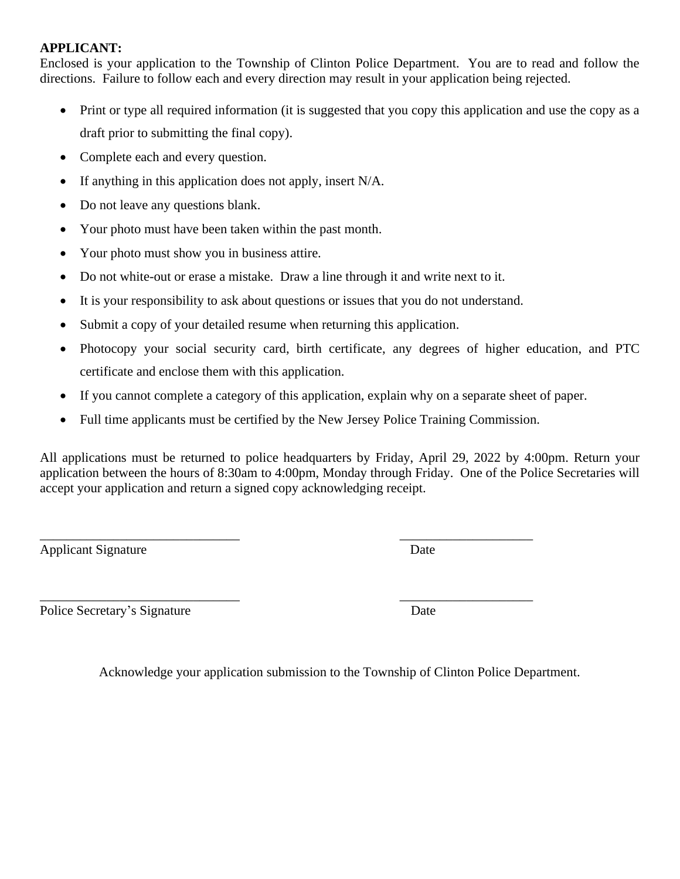#### **APPLICANT:**

Enclosed is your application to the Township of Clinton Police Department. You are to read and follow the directions. Failure to follow each and every direction may result in your application being rejected.

- Print or type all required information (it is suggested that you copy this application and use the copy as a draft prior to submitting the final copy).
- Complete each and every question.
- If anything in this application does not apply, insert  $N/A$ .
- Do not leave any questions blank.
- Your photo must have been taken within the past month.
- Your photo must show you in business attire.
- Do not white-out or erase a mistake. Draw a line through it and write next to it.
- It is your responsibility to ask about questions or issues that you do not understand.
- Submit a copy of your detailed resume when returning this application.
- Photocopy your social security card, birth certificate, any degrees of higher education, and PTC certificate and enclose them with this application.
- If you cannot complete a category of this application, explain why on a separate sheet of paper.
- Full time applicants must be certified by the New Jersey Police Training Commission.

\_\_\_\_\_\_\_\_\_\_\_\_\_\_\_\_\_\_\_\_\_\_\_\_\_\_\_\_\_\_ \_\_\_\_\_\_\_\_\_\_\_\_\_\_\_\_\_\_\_\_

All applications must be returned to police headquarters by Friday, April 29, 2022 by 4:00pm. Return your application between the hours of 8:30am to 4:00pm, Monday through Friday. One of the Police Secretaries will accept your application and return a signed copy acknowledging receipt.

Applicant Signature Date

Police Secretary's Signature Date

\_\_\_\_\_\_\_\_\_\_\_\_\_\_\_\_\_\_\_\_\_\_\_\_\_\_\_\_\_\_ \_\_\_\_\_\_\_\_\_\_\_\_\_\_\_\_\_\_\_\_

Acknowledge your application submission to the Township of Clinton Police Department.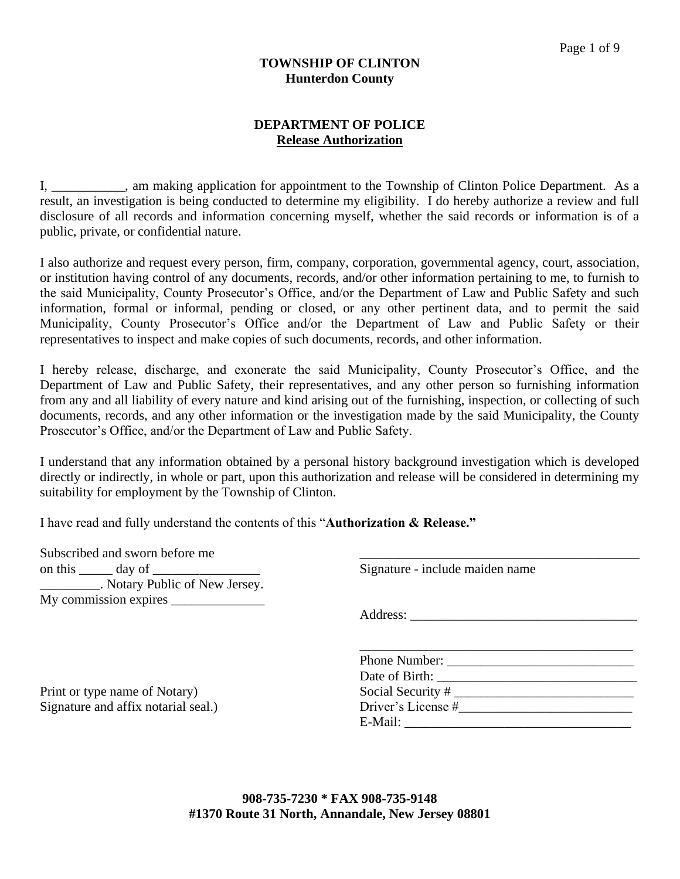#### **TOWNSHIP OF CLINTON Hunterdon County**

#### **DEPARTMENT OF POLICE Release Authorization**

I, \_\_\_\_\_\_\_\_\_\_\_, am making application for appointment to the Township of Clinton Police Department. As a result, an investigation is being conducted to determine my eligibility. I do hereby authorize a review and full disclosure of all records and information concerning myself, whether the said records or information is of a public, private, or confidential nature.

I also authorize and request every person, firm, company, corporation, governmental agency, court, association, or institution having control of any documents, records, and/or other information pertaining to me, to furnish to the said Municipality, County Prosecutor's Office, and/or the Department of Law and Public Safety and such information, formal or informal, pending or closed, or any other pertinent data, and to permit the said Municipality, County Prosecutor's Office and/or the Department of Law and Public Safety or their representatives to inspect and make copies of such documents, records, and other information.

I hereby release, discharge, and exonerate the said Municipality, County Prosecutor's Office, and the Department of Law and Public Safety, their representatives, and any other person so furnishing information from any and all liability of every nature and kind arising out of the furnishing, inspection, or collecting of such documents, records, and any other information or the investigation made by the said Municipality, the County Prosecutor's Office, and/or the Department of Law and Public Safety.

I understand that any information obtained by a personal history background investigation which is developed directly or indirectly, in whole or part, upon this authorization and release will be considered in determining my suitability for employment by the Township of Clinton.

I have read and fully understand the contents of this "**Authorization & Release."**

| Subscribed and sworn before me |                                 |  |
|--------------------------------|---------------------------------|--|
| on this<br>day of              | Signature - include maiden name |  |
| Notary Public of New Jersey.   |                                 |  |
| My commission expires          |                                 |  |

Print or type name of Notary) Signature and affix notarial seal.) Address:

| Phone Number:      |  |
|--------------------|--|
| Date of Birth:     |  |
| Social Security #  |  |
| Driver's License # |  |
| E-Mail:            |  |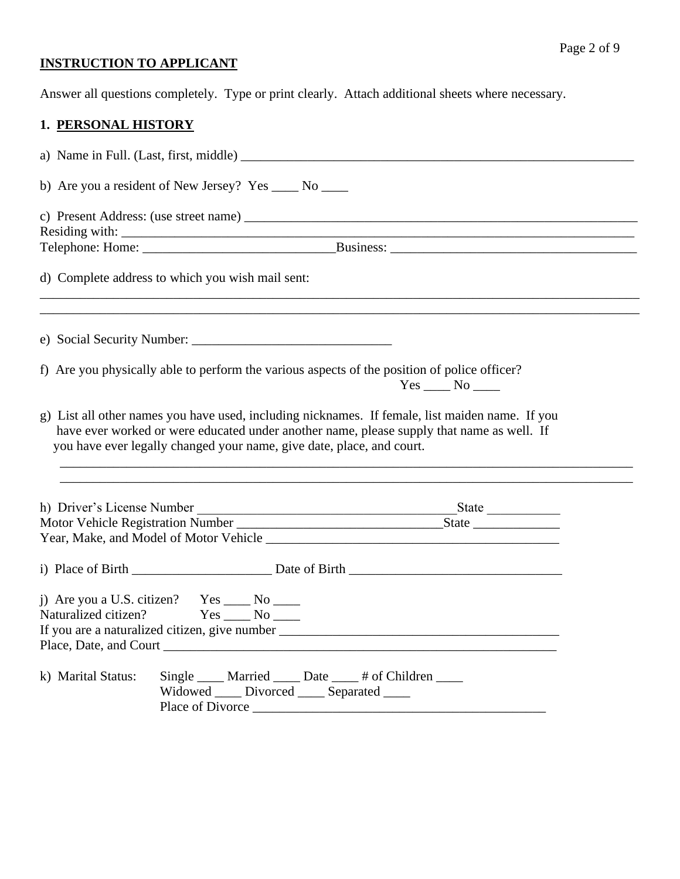## Page 2 of 9

# **INSTRUCTION TO APPLICANT**

Answer all questions completely. Type or print clearly. Attach additional sheets where necessary.

## **1. PERSONAL HISTORY**

|                    | b) Are you a resident of New Jersey? Yes _____ No _____                                          |                                                                                                                                                                                              |  |  |
|--------------------|--------------------------------------------------------------------------------------------------|----------------------------------------------------------------------------------------------------------------------------------------------------------------------------------------------|--|--|
|                    |                                                                                                  |                                                                                                                                                                                              |  |  |
|                    |                                                                                                  |                                                                                                                                                                                              |  |  |
|                    | d) Complete address to which you wish mail sent:                                                 |                                                                                                                                                                                              |  |  |
|                    |                                                                                                  |                                                                                                                                                                                              |  |  |
|                    |                                                                                                  | f) Are you physically able to perform the various aspects of the position of police officer?                                                                                                 |  |  |
|                    | you have ever legally changed your name, give date, place, and court.                            | g) List all other names you have used, including nicknames. If female, list maiden name. If you<br>have ever worked or were educated under another name, please supply that name as well. If |  |  |
|                    |                                                                                                  |                                                                                                                                                                                              |  |  |
|                    |                                                                                                  |                                                                                                                                                                                              |  |  |
|                    |                                                                                                  |                                                                                                                                                                                              |  |  |
|                    |                                                                                                  |                                                                                                                                                                                              |  |  |
|                    | j) Are you a U.S. citizen? Yes _____ No _____<br>Naturalized citizen? $Yes \_\_ No \_\_ No \_\_$ |                                                                                                                                                                                              |  |  |
| k) Marital Status: | Widowed ____ Divorced ____ Separated ____                                                        | Single _____ Married _____ Date _____ # of Children _____                                                                                                                                    |  |  |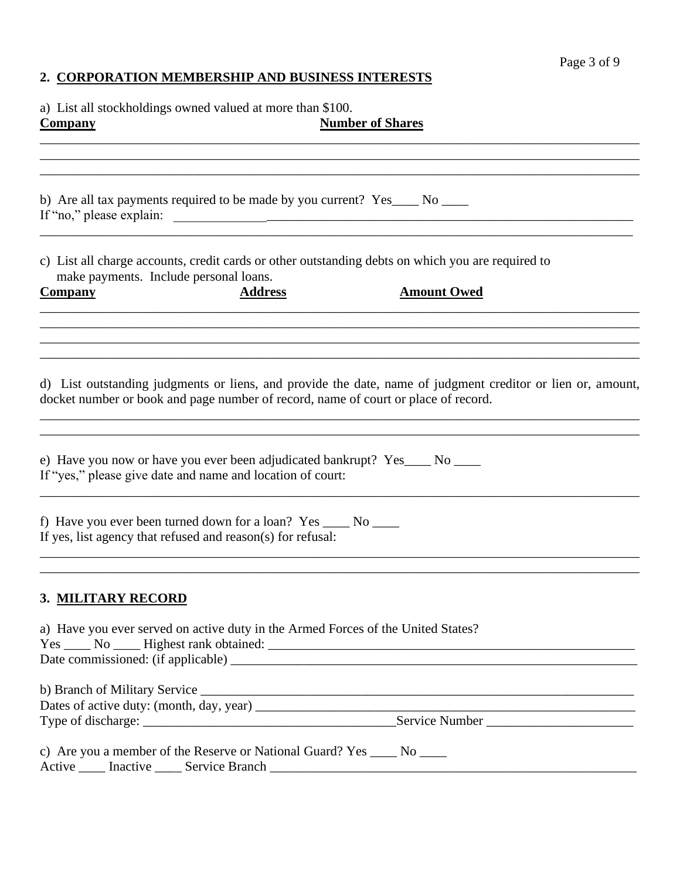## **2. CORPORATION MEMBERSHIP AND BUSINESS INTERESTS**

a) List all stockholdings owned valued at more than \$100.

| <b>Company</b>                                              | <b>Number of Shares</b>                                                                                                                                                                              |
|-------------------------------------------------------------|------------------------------------------------------------------------------------------------------------------------------------------------------------------------------------------------------|
|                                                             |                                                                                                                                                                                                      |
| If "no," please explain:                                    | b) Are all tax payments required to be made by you current? Yes____ No ____<br><u> 1989 - Jan Barnett, mars eta industrial eta industrial eta industrial eta industrial eta industrial eta indus</u> |
| make payments. Include personal loans.                      | c) List all charge accounts, credit cards or other outstanding debts on which you are required to                                                                                                    |
| <b>Company</b>                                              | <b>Address</b><br><b>Amount Owed</b>                                                                                                                                                                 |
|                                                             | d) List outstanding judgments or liens, and provide the date, name of judgment creditor or lien or, amount,<br>docket number or book and page number of record, name of court or place of record.    |
| If "yes," please give date and name and location of court:  | e) Have you now or have you ever been adjudicated bankrupt? Yes____ No ____                                                                                                                          |
| If yes, list agency that refused and reason(s) for refusal: | f) Have you ever been turned down for a loan? Yes ______ No ______                                                                                                                                   |
| <b>3. MILITARY RECORD</b>                                   |                                                                                                                                                                                                      |
|                                                             | a) Have you ever served on active duty in the Armed Forces of the United States?                                                                                                                     |
|                                                             |                                                                                                                                                                                                      |
|                                                             |                                                                                                                                                                                                      |
|                                                             | c) Are you a member of the Reserve or National Guard? Yes ______ No _____                                                                                                                            |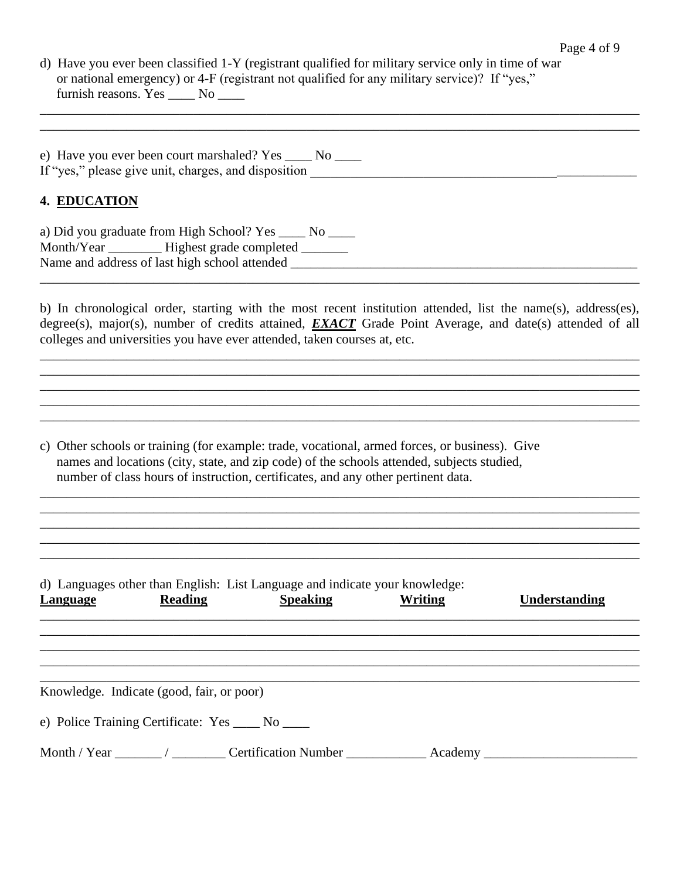d) Have you ever been classified 1-Y (registrant qualified for military service only in time of war or national emergency) or 4-F (registrant not qualified for any military service)? If "yes," furnish reasons. Yes \_\_\_\_\_ No \_\_\_\_ \_\_\_\_\_\_\_\_\_\_\_\_\_\_\_\_\_\_\_\_\_\_\_\_\_\_\_\_\_\_\_\_\_\_\_\_\_\_\_\_\_\_\_\_\_\_\_\_\_\_\_\_\_\_\_\_\_\_\_\_\_\_\_\_\_\_\_\_\_\_\_\_\_\_\_\_\_\_\_\_\_\_\_\_\_\_\_\_\_\_

| e) Have you ever been court marshaled? Yes _         |  |
|------------------------------------------------------|--|
| If "yes," please give unit, charges, and disposition |  |

\_\_\_\_\_\_\_\_\_\_\_\_\_\_\_\_\_\_\_\_\_\_\_\_\_\_\_\_\_\_\_\_\_\_\_\_\_\_\_\_\_\_\_\_\_\_\_\_\_\_\_\_\_\_\_\_\_\_\_\_\_\_\_\_\_\_\_\_\_\_\_\_\_\_\_\_\_\_\_\_\_\_\_\_\_\_\_\_\_\_

#### **4. EDUCATION**

a) Did you graduate from High School? Yes \_\_\_\_ No \_\_\_\_ Month/Year \_\_\_\_\_\_\_\_\_ Highest grade completed \_\_\_\_\_\_\_ Name and address of last high school attended \_\_\_\_\_\_\_\_\_\_\_\_\_\_\_\_\_\_\_\_\_\_\_\_\_\_\_\_\_\_\_\_\_\_\_\_\_\_\_\_\_\_\_\_\_\_\_\_\_\_\_\_

\_\_\_\_\_\_\_\_\_\_\_\_\_\_\_\_\_\_\_\_\_\_\_\_\_\_\_\_\_\_\_\_\_\_\_\_\_\_\_\_\_\_\_\_\_\_\_\_\_\_\_\_\_\_\_\_\_\_\_\_\_\_\_\_\_\_\_\_\_\_\_\_\_\_\_\_\_\_\_\_\_\_\_\_\_\_\_\_\_\_

b) In chronological order, starting with the most recent institution attended, list the name(s), address(es), degree(s), major(s), number of credits attained, *EXACT* Grade Point Average, and date(s) attended of all colleges and universities you have ever attended, taken courses at, etc.

\_\_\_\_\_\_\_\_\_\_\_\_\_\_\_\_\_\_\_\_\_\_\_\_\_\_\_\_\_\_\_\_\_\_\_\_\_\_\_\_\_\_\_\_\_\_\_\_\_\_\_\_\_\_\_\_\_\_\_\_\_\_\_\_\_\_\_\_\_\_\_\_\_\_\_\_\_\_\_\_\_\_\_\_\_\_\_\_\_\_ \_\_\_\_\_\_\_\_\_\_\_\_\_\_\_\_\_\_\_\_\_\_\_\_\_\_\_\_\_\_\_\_\_\_\_\_\_\_\_\_\_\_\_\_\_\_\_\_\_\_\_\_\_\_\_\_\_\_\_\_\_\_\_\_\_\_\_\_\_\_\_\_\_\_\_\_\_\_\_\_\_\_\_\_\_\_\_\_\_\_ \_\_\_\_\_\_\_\_\_\_\_\_\_\_\_\_\_\_\_\_\_\_\_\_\_\_\_\_\_\_\_\_\_\_\_\_\_\_\_\_\_\_\_\_\_\_\_\_\_\_\_\_\_\_\_\_\_\_\_\_\_\_\_\_\_\_\_\_\_\_\_\_\_\_\_\_\_\_\_\_\_\_\_\_\_\_\_\_\_\_ \_\_\_\_\_\_\_\_\_\_\_\_\_\_\_\_\_\_\_\_\_\_\_\_\_\_\_\_\_\_\_\_\_\_\_\_\_\_\_\_\_\_\_\_\_\_\_\_\_\_\_\_\_\_\_\_\_\_\_\_\_\_\_\_\_\_\_\_\_\_\_\_\_\_\_\_\_\_\_\_\_\_\_\_\_\_\_\_\_\_

\_\_\_\_\_\_\_\_\_\_\_\_\_\_\_\_\_\_\_\_\_\_\_\_\_\_\_\_\_\_\_\_\_\_\_\_\_\_\_\_\_\_\_\_\_\_\_\_\_\_\_\_\_\_\_\_\_\_\_\_\_\_\_\_\_\_\_\_\_\_\_\_\_\_\_\_\_\_\_\_\_\_\_\_\_\_\_\_\_\_ \_\_\_\_\_\_\_\_\_\_\_\_\_\_\_\_\_\_\_\_\_\_\_\_\_\_\_\_\_\_\_\_\_\_\_\_\_\_\_\_\_\_\_\_\_\_\_\_\_\_\_\_\_\_\_\_\_\_\_\_\_\_\_\_\_\_\_\_\_\_\_\_\_\_\_\_\_\_\_\_\_\_\_\_\_\_\_\_\_\_ \_\_\_\_\_\_\_\_\_\_\_\_\_\_\_\_\_\_\_\_\_\_\_\_\_\_\_\_\_\_\_\_\_\_\_\_\_\_\_\_\_\_\_\_\_\_\_\_\_\_\_\_\_\_\_\_\_\_\_\_\_\_\_\_\_\_\_\_\_\_\_\_\_\_\_\_\_\_\_\_\_\_\_\_\_\_\_\_\_\_ \_\_\_\_\_\_\_\_\_\_\_\_\_\_\_\_\_\_\_\_\_\_\_\_\_\_\_\_\_\_\_\_\_\_\_\_\_\_\_\_\_\_\_\_\_\_\_\_\_\_\_\_\_\_\_\_\_\_\_\_\_\_\_\_\_\_\_\_\_\_\_\_\_\_\_\_\_\_\_\_\_\_\_\_\_\_\_\_\_\_

c) Other schools or training (for example: trade, vocational, armed forces, or business). Give names and locations (city, state, and zip code) of the schools attended, subjects studied, number of class hours of instruction, certificates, and any other pertinent data.

| Knowledge. Indicate (good, fair, or poor)          | Understanding | Writing | d) Languages other than English: List Language and indicate your knowledge:<br><b>Speaking</b> | <b>Reading</b> | <b>Language</b> |
|----------------------------------------------------|---------------|---------|------------------------------------------------------------------------------------------------|----------------|-----------------|
|                                                    |               |         |                                                                                                |                |                 |
|                                                    |               |         |                                                                                                |                |                 |
|                                                    |               |         |                                                                                                |                |                 |
|                                                    |               |         |                                                                                                |                |                 |
| e) Police Training Certificate: Yes _____ No _____ |               |         |                                                                                                |                |                 |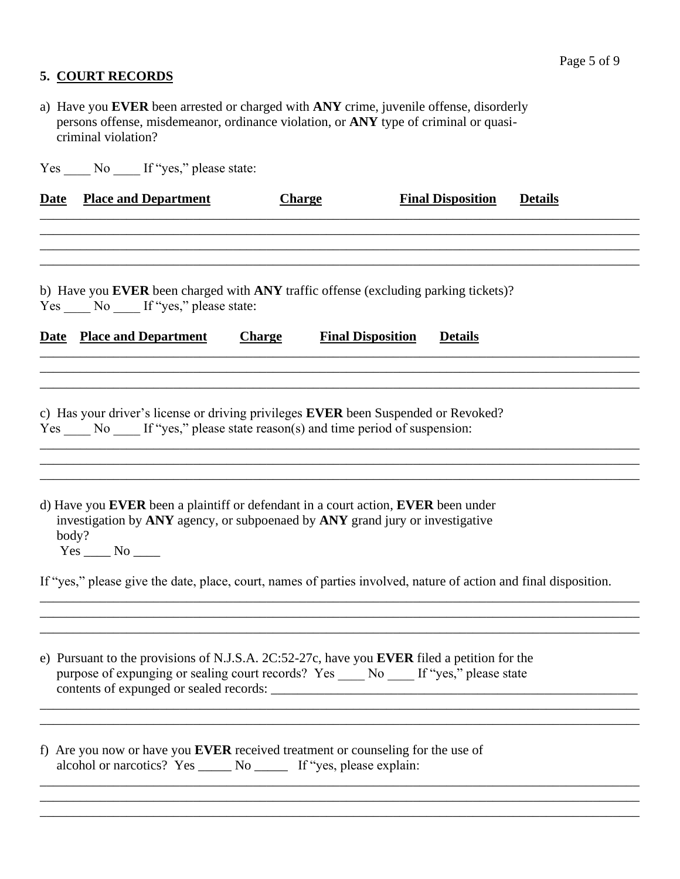## **5. COURT RECORDS**

- a) Have you **EVER** been arrested or charged with **ANY** crime, juvenile offense, disorderly persons offense, misdemeanor, ordinance violation, or **ANY** type of criminal or quasi criminal violation?
- Yes \_\_\_\_ No \_\_\_\_ If "yes," please state:

| <b>Place and Department</b>      | <b>Charge</b> | <b>Final Disposition</b>                 | <b>Details</b>                                                                                                                                                                                                                                                                                                                                                                                                                                                                                                                                                                                                                                                                                                                                                                                                                                                                                                             |
|----------------------------------|---------------|------------------------------------------|----------------------------------------------------------------------------------------------------------------------------------------------------------------------------------------------------------------------------------------------------------------------------------------------------------------------------------------------------------------------------------------------------------------------------------------------------------------------------------------------------------------------------------------------------------------------------------------------------------------------------------------------------------------------------------------------------------------------------------------------------------------------------------------------------------------------------------------------------------------------------------------------------------------------------|
|                                  |               |                                          |                                                                                                                                                                                                                                                                                                                                                                                                                                                                                                                                                                                                                                                                                                                                                                                                                                                                                                                            |
|                                  |               |                                          |                                                                                                                                                                                                                                                                                                                                                                                                                                                                                                                                                                                                                                                                                                                                                                                                                                                                                                                            |
| <b>Date</b> Place and Department | <b>Charge</b> | <b>Details</b>                           |                                                                                                                                                                                                                                                                                                                                                                                                                                                                                                                                                                                                                                                                                                                                                                                                                                                                                                                            |
|                                  |               |                                          |                                                                                                                                                                                                                                                                                                                                                                                                                                                                                                                                                                                                                                                                                                                                                                                                                                                                                                                            |
|                                  |               |                                          |                                                                                                                                                                                                                                                                                                                                                                                                                                                                                                                                                                                                                                                                                                                                                                                                                                                                                                                            |
|                                  |               |                                          |                                                                                                                                                                                                                                                                                                                                                                                                                                                                                                                                                                                                                                                                                                                                                                                                                                                                                                                            |
| body?<br>$Yes \_\_No \_\_$       |               |                                          |                                                                                                                                                                                                                                                                                                                                                                                                                                                                                                                                                                                                                                                                                                                                                                                                                                                                                                                            |
|                                  |               |                                          |                                                                                                                                                                                                                                                                                                                                                                                                                                                                                                                                                                                                                                                                                                                                                                                                                                                                                                                            |
|                                  |               |                                          |                                                                                                                                                                                                                                                                                                                                                                                                                                                                                                                                                                                                                                                                                                                                                                                                                                                                                                                            |
|                                  |               |                                          |                                                                                                                                                                                                                                                                                                                                                                                                                                                                                                                                                                                                                                                                                                                                                                                                                                                                                                                            |
|                                  |               | Yes ____ No ____ If "yes," please state: | b) Have you EVER been charged with ANY traffic offense (excluding parking tickets)?<br><b>Final Disposition</b><br>c) Has your driver's license or driving privileges EVER been Suspended or Revoked?<br>Yes No If "yes," please state reason(s) and time period of suspension:<br>d) Have you EVER been a plaintiff or defendant in a court action, EVER been under<br>investigation by ANY agency, or subpoenaed by ANY grand jury or investigative<br>If "yes," please give the date, place, court, names of parties involved, nature of action and final disposition.<br>e) Pursuant to the provisions of N.J.S.A. 2C:52-27c, have you EVER filed a petition for the<br>purpose of expunging or sealing court records? Yes No If "yes," please state<br>f) Are you now or have you <b>EVER</b> received treatment or counseling for the use of<br>alcohol or narcotics? Yes ______ No _______ If "yes, please explain: |

\_\_\_\_\_\_\_\_\_\_\_\_\_\_\_\_\_\_\_\_\_\_\_\_\_\_\_\_\_\_\_\_\_\_\_\_\_\_\_\_\_\_\_\_\_\_\_\_\_\_\_\_\_\_\_\_\_\_\_\_\_\_\_\_\_\_\_\_\_\_\_\_\_\_\_\_\_\_\_\_\_\_\_\_\_\_\_\_\_\_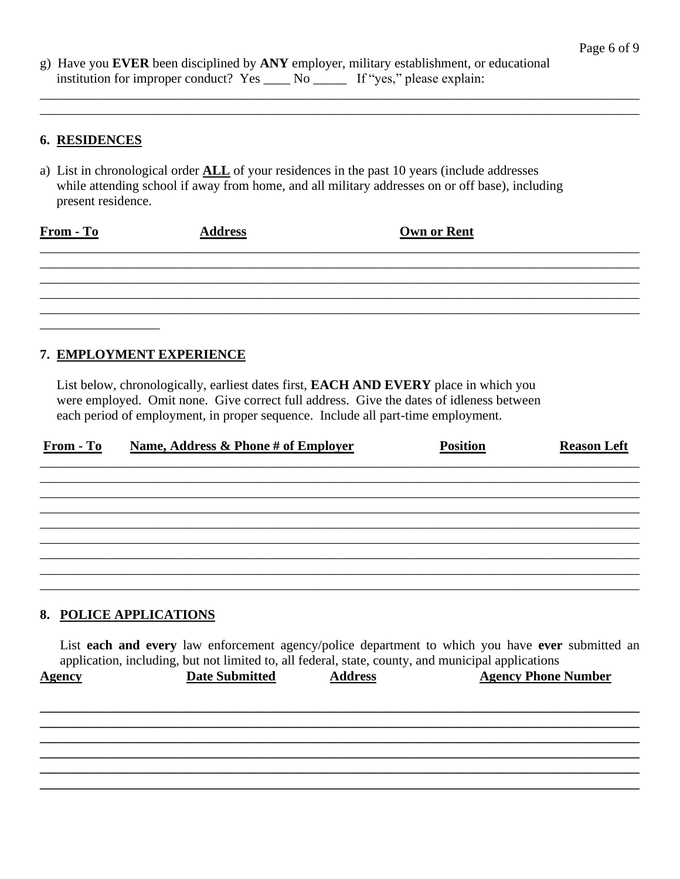g) Have you EVER been disciplined by ANY employer, military establishment, or educational institution for improper conduct? Yes \_\_\_\_\_\_\_ No \_\_\_\_\_\_\_\_ If "yes," please explain:

#### **6. RESIDENCES**

a) List in chronological order **ALL** of your residences in the past 10 years (include addresses while attending school if away from home, and all military addresses on or off base), including present residence.

| $From - To$ | <b>Address</b> | Own or Rent |  |
|-------------|----------------|-------------|--|
|             |                |             |  |
|             |                |             |  |
|             |                |             |  |
|             |                |             |  |

## 7. EMPLOYMENT EXPERIENCE

List below, chronologically, earliest dates first, **EACH AND EVERY** place in which you were employed. Omit none. Give correct full address. Give the dates of idleness between each period of employment, in proper sequence. Include all part-time employment.

| <b>From - To</b> | Name, Address & Phone # of Employer                  | <b>Position</b> | <b>Reason Left</b> |
|------------------|------------------------------------------------------|-----------------|--------------------|
|                  |                                                      |                 |                    |
|                  |                                                      |                 |                    |
|                  |                                                      |                 |                    |
|                  |                                                      |                 |                    |
|                  |                                                      |                 |                    |
|                  |                                                      |                 |                    |
|                  | $\alpha$ portion in $\alpha$ in $\alpha$ in $\alpha$ |                 |                    |

#### 8. POLICE APPLICATIONS

List each and every law enforcement agency/police department to which you have ever submitted an application, including, but not limited to, all federal, state, county, and municipal applications **Date Submitted Address Agency Phone Number Agency**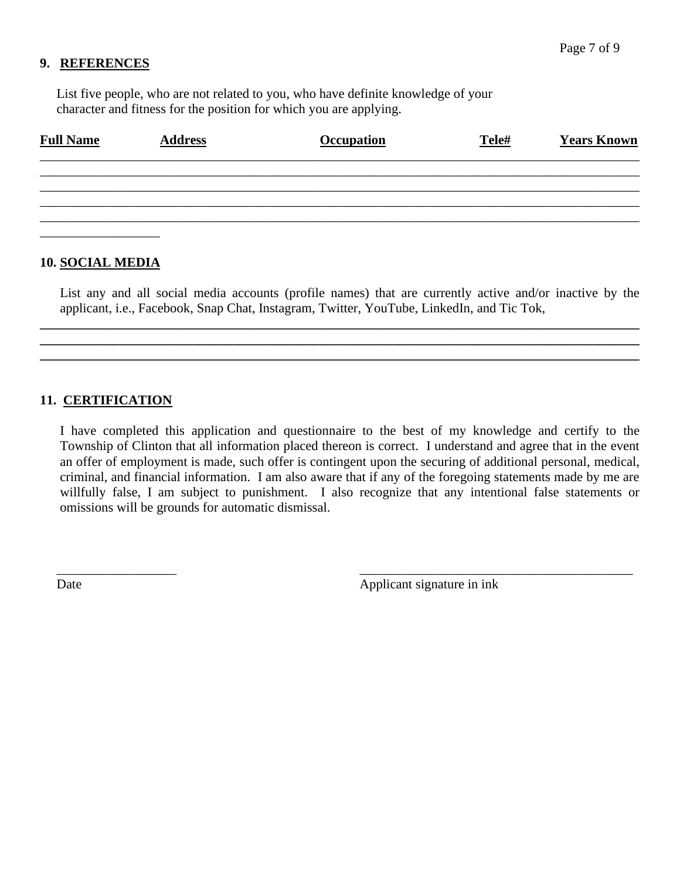#### **9. REFERENCES**

 List five people, who are not related to you, who have definite knowledge of your character and fitness for the position for which you are applying.

| <b>Full Name</b> | <b>Address</b> | <b>Occupation</b> | Tele# | <b>Years Known</b> |
|------------------|----------------|-------------------|-------|--------------------|
|                  |                |                   |       |                    |
|                  |                |                   |       |                    |
|                  |                |                   |       |                    |
|                  |                |                   |       |                    |

#### **10. SOCIAL MEDIA**

List any and all social media accounts (profile names) that are currently active and/or inactive by the applicant, i.e., Facebook, Snap Chat, Instagram, Twitter, YouTube, LinkedIn, and Tic Tok,

**\_\_\_\_\_\_\_\_\_\_\_\_\_\_\_\_\_\_\_\_\_\_\_\_\_\_\_\_\_\_\_\_\_\_\_\_\_\_\_\_\_\_\_\_\_\_\_\_\_\_\_\_\_\_\_\_\_\_\_\_\_\_\_\_\_\_\_\_\_\_\_\_\_\_\_\_\_\_\_\_\_\_\_\_\_\_\_\_\_\_ \_\_\_\_\_\_\_\_\_\_\_\_\_\_\_\_\_\_\_\_\_\_\_\_\_\_\_\_\_\_\_\_\_\_\_\_\_\_\_\_\_\_\_\_\_\_\_\_\_\_\_\_\_\_\_\_\_\_\_\_\_\_\_\_\_\_\_\_\_\_\_\_\_\_\_\_\_\_\_\_\_\_\_\_\_\_\_\_\_\_ \_\_\_\_\_\_\_\_\_\_\_\_\_\_\_\_\_\_\_\_\_\_\_\_\_\_\_\_\_\_\_\_\_\_\_\_\_\_\_\_\_\_\_\_\_\_\_\_\_\_\_\_\_\_\_\_\_\_\_\_\_\_\_\_\_\_\_\_\_\_\_\_\_\_\_\_\_\_\_\_\_\_\_\_\_\_\_\_\_\_**

## **11. CERTIFICATION**

I have completed this application and questionnaire to the best of my knowledge and certify to the Township of Clinton that all information placed thereon is correct. I understand and agree that in the event an offer of employment is made, such offer is contingent upon the securing of additional personal, medical, criminal, and financial information. I am also aware that if any of the foregoing statements made by me are willfully false, I am subject to punishment. I also recognize that any intentional false statements or omissions will be grounds for automatic dismissal.

 $\overline{\phantom{a}}$  , and the contract of the contract of the contract of the contract of the contract of the contract of the contract of the contract of the contract of the contract of the contract of the contract of the contrac

Date Applicant signature in ink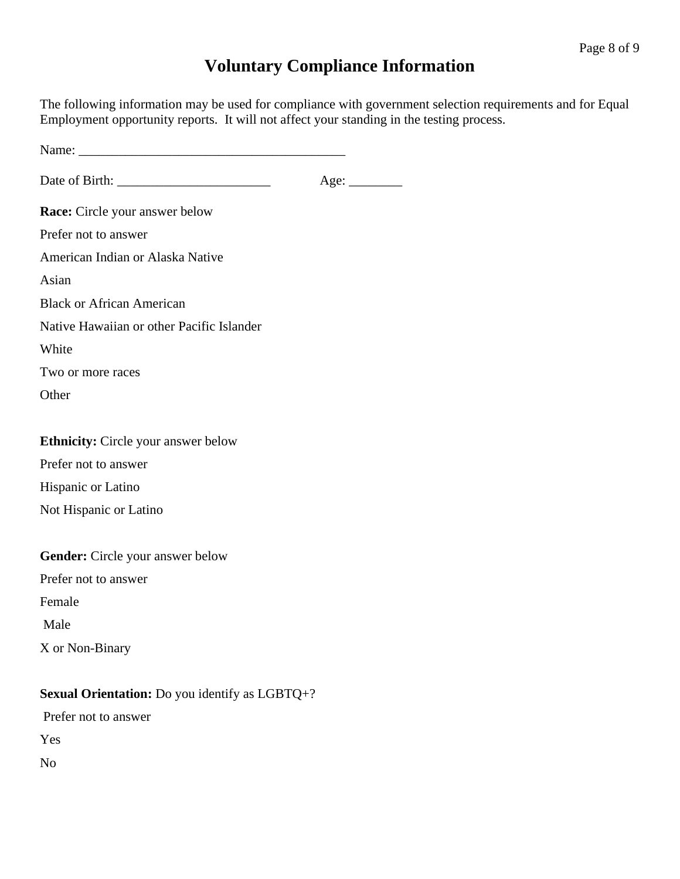# **Voluntary Compliance Information**

The following information may be used for compliance with government selection requirements and for Equal Employment opportunity reports. It will not affect your standing in the testing process.

| Age:                                                  |  |
|-------------------------------------------------------|--|
| <b>Race:</b> Circle your answer below                 |  |
| Prefer not to answer                                  |  |
| American Indian or Alaska Native                      |  |
| Asian                                                 |  |
| <b>Black or African American</b>                      |  |
| Native Hawaiian or other Pacific Islander             |  |
| White                                                 |  |
| Two or more races                                     |  |
| Other                                                 |  |
|                                                       |  |
| <b>Ethnicity:</b> Circle your answer below            |  |
| Prefer not to answer                                  |  |
| Hispanic or Latino                                    |  |
| Not Hispanic or Latino                                |  |
|                                                       |  |
| <b>Gender:</b> Circle your answer below               |  |
| Prefer not to answer                                  |  |
| Female                                                |  |
| Male                                                  |  |
| X or Non-Binary                                       |  |
|                                                       |  |
| <b>Sexual Orientation:</b> Do you identify as LGBTQ+? |  |
| Prefer not to answer                                  |  |

Yes

No